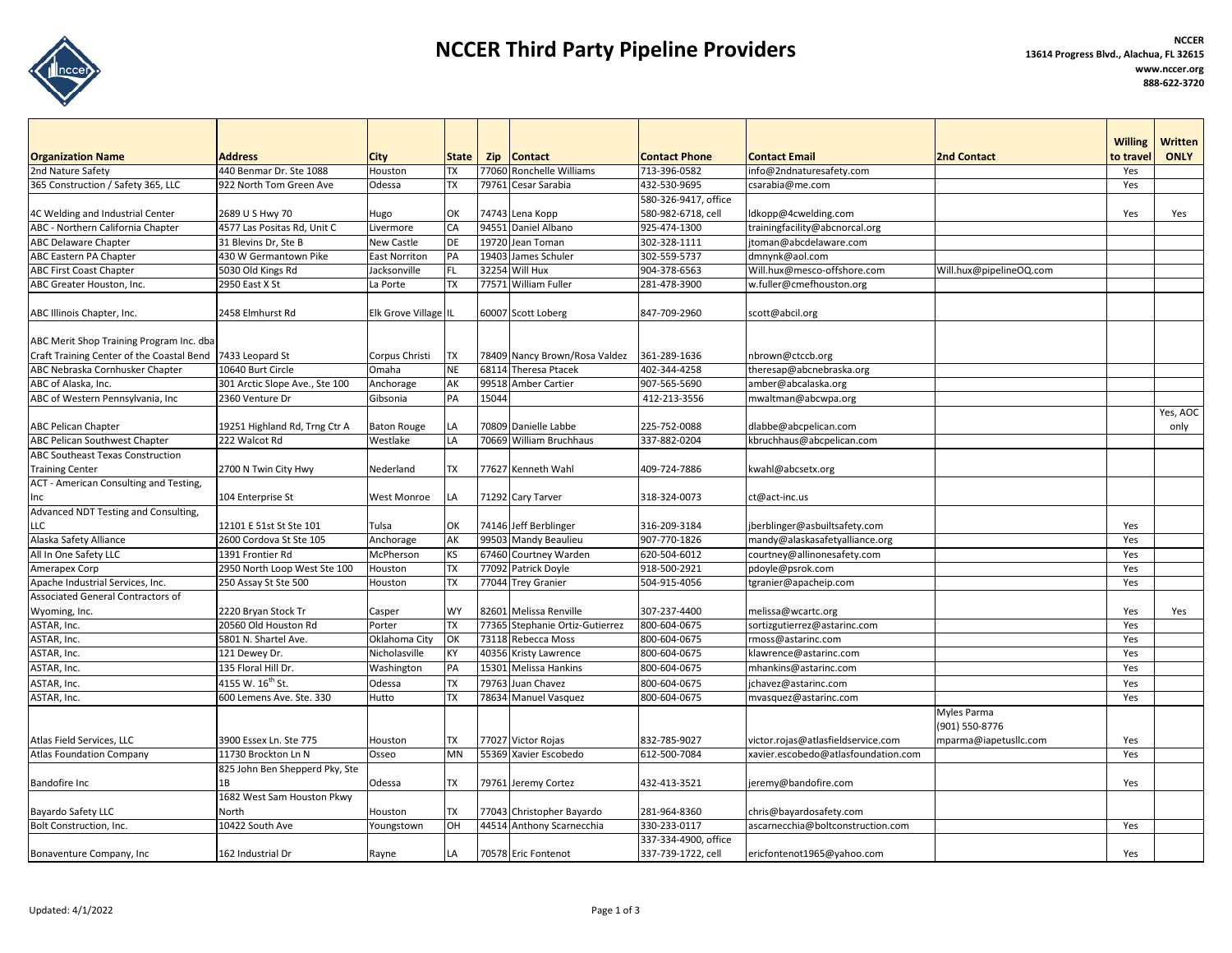

## **NCCER Third Party Pipeline Providers NCCER <sup>13614</sup> Progress Blvd., Alachua, FL <sup>32615</sup>**

|                                                           |                                |                                |           |            |                               |                                            |                                     |                               | <b>Willing</b> | <b>Written</b>   |
|-----------------------------------------------------------|--------------------------------|--------------------------------|-----------|------------|-------------------------------|--------------------------------------------|-------------------------------------|-------------------------------|----------------|------------------|
| <b>Organization Name</b>                                  | Address                        | <b>City</b>                    | State     | <b>Zip</b> | <b>Contact</b>                | <b>Contact Phone</b>                       | <b>Contact Email</b>                | <b>2nd Contact</b>            | to travel      | <b>ONLY</b>      |
| 2nd Nature Safety                                         | 440 Benmar Dr. Ste 1088        | Houston                        | TХ        | 77060      | <b>Ronchelle Williams</b>     | 713-396-0582                               | info@2ndnaturesafety.com            |                               | Yes            |                  |
| 365 Construction / Safety 365, LLC                        | 922 North Tom Green Ave        | Odessa                         | ТX        | 79761      | Cesar Sarabia                 | 432-530-9695                               | csarabia@me.com                     |                               | Yes            |                  |
| 4C Welding and Industrial Center                          | 2689 U S Hwy 70                |                                | OK        |            | 74743 Lena Kopp               | 580-326-9417, office<br>580-982-6718, cell | ldkopp@4cwelding.com                |                               | Yes            | Yes              |
| ABC - Northern California Chapter                         | 4577 Las Positas Rd, Unit C    | Hugo                           | CA        |            | 94551 Daniel Albano           | 925-474-1300                               | trainingfacility@abcnorcal.org      |                               |                |                  |
| <b>ABC Delaware Chapter</b>                               | 31 Blevins Dr, Ste B           | Livermore<br><b>New Castle</b> | DE        |            | 19720 Jean Toman              | 302-328-1111                               | jtoman@abcdelaware.com              |                               |                |                  |
| ABC Eastern PA Chapter                                    | 430 W Germantown Pike          | <b>East Norriton</b>           | PA        | 19403      | James Schuler                 | 302-559-5737                               | dmnynk@aol.com                      |                               |                |                  |
| <b>ABC First Coast Chapter</b>                            | 5030 Old Kings Rd              | Jacksonville                   | FL.       | 32254      | Will Hux                      | 904-378-6563                               | Will.hux@mesco-offshore.com         | Will.hux@pipelineOQ.com       |                |                  |
| ABC Greater Houston, Inc.                                 | 2950 East X St                 | La Porte                       | ТX        |            | 77571 William Fuller          | 281-478-3900                               | w.fuller@cmefhouston.org            |                               |                |                  |
|                                                           |                                |                                |           |            |                               |                                            |                                     |                               |                |                  |
| ABC Illinois Chapter, Inc.                                | 2458 Elmhurst Rd               | Elk Grove Village IL           |           |            | 60007 Scott Loberg            | 847-709-2960                               | scott@abcil.org                     |                               |                |                  |
| ABC Merit Shop Training Program Inc. dba                  |                                |                                |           |            |                               |                                            |                                     |                               |                |                  |
| Craft Training Center of the Coastal Bend 7433 Leopard St |                                | Corpus Christi                 | TX        |            | 78409 Nancy Brown/Rosa Valdez | 361-289-1636                               | nbrown@ctccb.org                    |                               |                |                  |
| ABC Nebraska Cornhusker Chapter                           | 10640 Burt Circle              | Omaha                          | <b>NE</b> | 68114      | <b>Theresa Ptacek</b>         | 402-344-4258                               | theresap@abcnebraska.org            |                               |                |                  |
| ABC of Alaska, Inc.                                       | 301 Arctic Slope Ave., Ste 100 | Anchorage                      | AK        | 99518      | <b>Amber Cartier</b>          | 907-565-5690                               | amber@abcalaska.org                 |                               |                |                  |
| ABC of Western Pennsylvania, Inc                          | 2360 Venture Dr                | Gibsonia                       | PA        | 15044      |                               | 412-213-3556                               | mwaltman@abcwpa.org                 |                               |                |                  |
| <b>ABC Pelican Chapter</b>                                | 19251 Highland Rd, Trng Ctr A  | <b>Baton Rouge</b>             | LA        |            | 70809 Danielle Labbe          | 225-752-0088                               | dlabbe@abcpelican.com               |                               |                | Yes, AOC<br>only |
| <b>ABC Pelican Southwest Chapter</b>                      | 222 Walcot Rd                  | Westlake                       | LA        |            | 70669 William Bruchhaus       | 337-882-0204                               | kbruchhaus@abcpelican.com           |                               |                |                  |
| <b>ABC Southeast Texas Construction</b>                   |                                |                                |           |            |                               |                                            |                                     |                               |                |                  |
| <b>Training Center</b>                                    | 2700 N Twin City Hwy           | Nederland                      | ТX        |            | 77627 Kenneth Wahl            | 409-724-7886                               | kwahl@abcsetx.org                   |                               |                |                  |
| ACT - American Consulting and Testing,                    |                                |                                |           |            |                               |                                            |                                     |                               |                |                  |
| Inc                                                       | 104 Enterprise St              | <b>West Monroe</b>             | LA        |            | 71292 Cary Tarver             | 318-324-0073                               | ct@act-inc.us                       |                               |                |                  |
| Advanced NDT Testing and Consulting,                      |                                |                                |           |            |                               |                                            |                                     |                               |                |                  |
| LLC                                                       | 12101 E 51st St Ste 101        | Tulsa                          | OK        |            | 74146 Jeff Berblinger         | 316-209-3184                               | jberblinger@asbuiltsafety.com       |                               | Yes            |                  |
| Alaska Safety Alliance                                    | 2600 Cordova St Ste 105        | Anchorage                      | AK        | 99503      | Mandy Beaulieu                | 907-770-1826                               | mandy@alaskasafetyalliance.org      |                               | Yes            |                  |
| All In One Safety LLC                                     | 1391 Frontier Rd               | McPherson                      | KS        | 67460      | Courtney Warden               | 620-504-6012                               | courtney@allinonesafety.com         |                               | Yes            |                  |
| Amerapex Corp                                             | 2950 North Loop West Ste 100   | Houston                        | ТX        |            | 77092 Patrick Doyle           | 918-500-2921                               | pdoyle@psrok.com                    |                               | Yes            |                  |
| Apache Industrial Services, Inc.                          | 250 Assay St Ste 500           | Houston                        | TX        |            | 77044 Trey Granier            | 504-915-4056                               | tgranier@apacheip.com               |                               | Yes            |                  |
| Associated General Contractors of                         |                                |                                |           |            |                               |                                            |                                     |                               |                |                  |
| Wyoming, Inc.                                             | 2220 Bryan Stock Tr            | Casper                         | <b>WY</b> | 82601      | Melissa Renville              | 307-237-4400                               | melissa@wcartc.org                  |                               | Yes            | Yes              |
| ASTAR, Inc.                                               | 20560 Old Houston Rd           | Porter                         | ТX        | 77365      | Stephanie Ortiz-Gutierrez     | 800-604-0675                               | sortizgutierrez@astarinc.com        |                               | Yes            |                  |
| ASTAR, Inc.                                               | 5801 N. Shartel Ave.           | Oklahoma City                  | OK        | 73118      | Rebecca Moss                  | 800-604-0675                               | rmoss@astarinc.com                  |                               | Yes            |                  |
| ASTAR, Inc.                                               | 121 Dewey Dr.                  | Nicholasville                  | KY        | 40356      | Kristy Lawrence               | 800-604-0675                               | klawrence@astarinc.com              |                               | Yes            |                  |
| ASTAR, Inc.                                               | 135 Floral Hill Dr.            | Washington                     | PA        | 15301      | Melissa Hankins               | 800-604-0675                               | mhankins@astarinc.com               |                               | Yes            |                  |
| ASTAR, Inc.                                               | 4155 W. 16 <sup>th</sup> St.   | Odessa                         | <b>TX</b> | 79763      | Juan Chavez                   | 800-604-0675                               | jchavez@astarinc.com                |                               | Yes            |                  |
| ASTAR, Inc.                                               | 600 Lemens Ave. Ste. 330       | Hutto                          | TX        |            | 78634 Manuel Vasquez          | 800-604-0675                               | mvasquez@astarinc.com               |                               | Yes            |                  |
|                                                           |                                |                                |           |            |                               |                                            |                                     | Myles Parma<br>(901) 550-8776 |                |                  |
| Atlas Field Services, LLC                                 | 3900 Essex Ln. Ste 775         | Houston                        | TX        |            | 77027 Victor Rojas            | 832-785-9027                               | victor.rojas@atlasfieldservice.com  | mparma@iapetusllc.com         | Yes            |                  |
| <b>Atlas Foundation Company</b>                           | 11730 Brockton Ln N            | Osseo                          | <b>MN</b> |            | 55369 Xavier Escobedo         | 612-500-7084                               | xavier.escobedo@atlasfoundation.com |                               | Yes            |                  |
|                                                           | 825 John Ben Shepperd Pky, Ste |                                |           |            |                               |                                            |                                     |                               |                |                  |
| <b>Bandofire Inc</b>                                      | 1B                             | Odessa                         | ТX        |            | 79761 Jeremy Cortez           | 432-413-3521                               | jeremy@bandofire.com                |                               | Yes            |                  |
|                                                           | 1682 West Sam Houston Pkwy     |                                |           |            |                               |                                            |                                     |                               |                |                  |
| Bayardo Safety LLC                                        | North                          | Houston                        | ТX        | 77043      | Christopher Bayardo           | 281-964-8360                               | chris@bayardosafety.com             |                               |                |                  |
| Bolt Construction, Inc.                                   | 10422 South Ave                | Youngstown                     | OH        |            | 44514 Anthony Scarnecchia     | 330-233-0117                               | ascarnecchia@boltconstruction.com   |                               | Yes            |                  |
|                                                           |                                |                                |           |            |                               | 337-334-4900, office                       |                                     |                               |                |                  |
| Bonaventure Company, Inc                                  | 162 Industrial Dr              | Rayne                          | LA        |            | 70578 Eric Fontenot           | 337-739-1722, cell                         | ericfontenot1965@yahoo.com          |                               | Yes            |                  |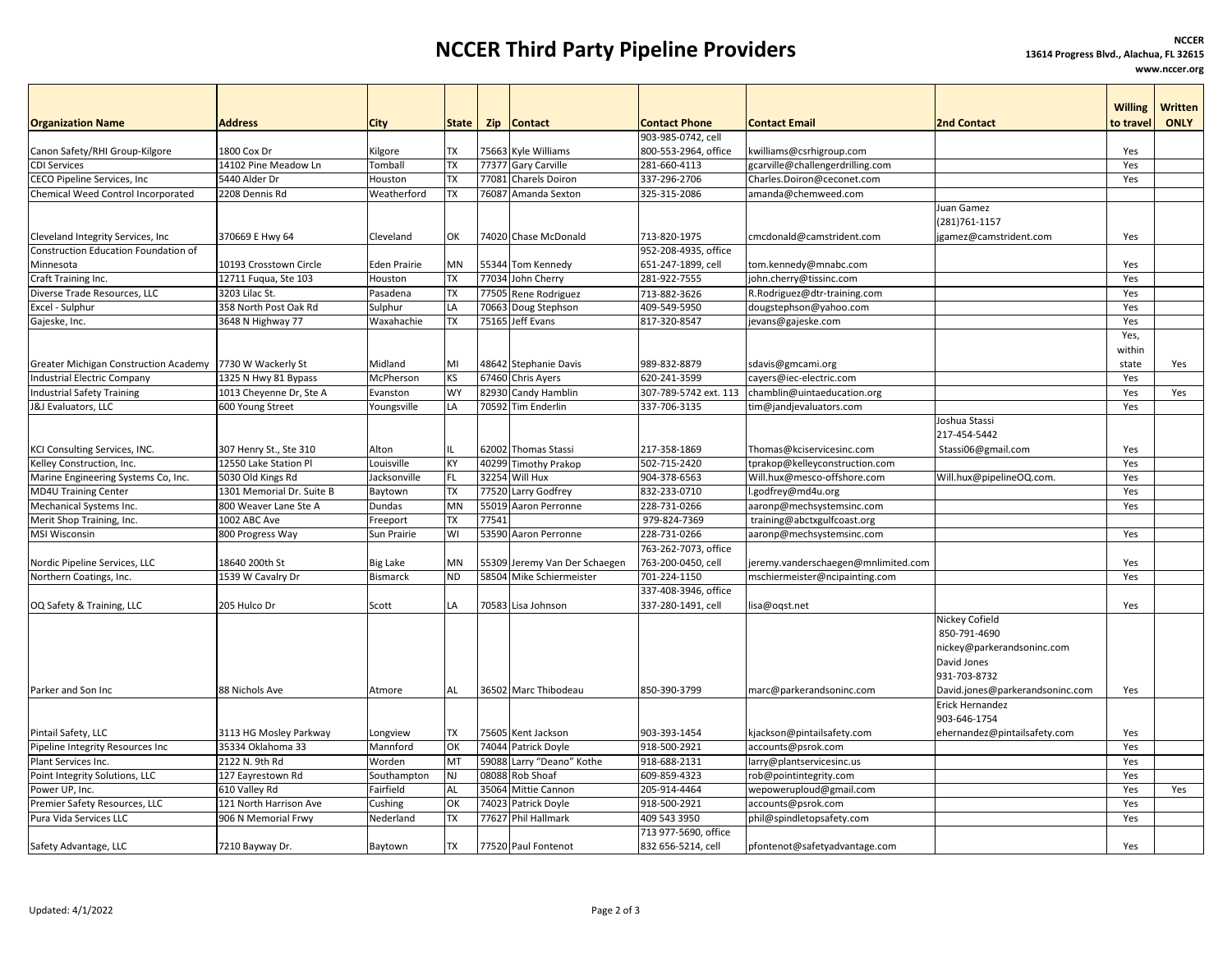## **NCCER Third Party Pipeline Providers NCCER <sup>13614</sup> Progress Blvd., Alachua, FL <sup>32615</sup>**

**www.nccer.org**

|                                                          | <b>Address</b>            |                     |                 |       |                         | <b>Contact Phone</b>  | <b>Contact Email</b>                | <b>2nd Contact</b>              | <b>Willing</b><br>to travel | <b>Written</b><br><b>ONLY</b> |
|----------------------------------------------------------|---------------------------|---------------------|-----------------|-------|-------------------------|-----------------------|-------------------------------------|---------------------------------|-----------------------------|-------------------------------|
| <b>Organization Name</b>                                 |                           | City                | <b>State</b>    |       | Zip Contact             | 903-985-0742, cell    |                                     |                                 |                             |                               |
| Canon Safety/RHI Group-Kilgore                           | 1800 Cox Dr               | Kilgore             | <b>TX</b>       |       | 75663 Kyle Williams     | 800-553-2964, office  | kwilliams@csrhigroup.com            |                                 | Yes                         |                               |
| <b>CDI Services</b>                                      | 14102 Pine Meadow Ln      | Tomball             | <b>TX</b>       |       | 77377 Gary Carville     | 281-660-4113          | gcarville@challengerdrilling.com    |                                 | Yes                         |                               |
| CECO Pipeline Services, Inc                              | 5440 Alder Dr             | Houston             | <b>TX</b>       | 77081 | Charels Doiron          | 337-296-2706          | Charles.Doiron@ceconet.com          |                                 | Yes                         |                               |
| Chemical Weed Control Incorporated                       | 2208 Dennis Rd            | Weatherford         | <b>TX</b>       |       | 76087 Amanda Sexton     | 325-315-2086          | amanda@chemweed.com                 |                                 |                             |                               |
|                                                          |                           |                     |                 |       |                         |                       |                                     | Juan Gamez                      |                             |                               |
|                                                          |                           |                     |                 |       |                         |                       |                                     | (281) 761-1157                  |                             |                               |
| Cleveland Integrity Services, Inc                        | 370669 E Hwy 64           | Cleveland           | OK              |       | 74020 Chase McDonald    | 713-820-1975          | cmcdonald@camstrident.com           | jgamez@camstrident.com          | Yes                         |                               |
| <b>Construction Education Foundation of</b>              |                           |                     |                 |       |                         | 952-208-4935, office  |                                     |                                 |                             |                               |
| Minnesota                                                | 10193 Crosstown Circle    | <b>Eden Prairie</b> | <b>MN</b>       |       | 55344 Tom Kennedy       | 651-247-1899, cell    | tom.kennedy@mnabc.com               |                                 | Yes                         |                               |
| Craft Training Inc.                                      | 12711 Fugua, Ste 103      | Houston             | <b>TX</b>       |       | 77034 John Cherry       | 281-922-7555          | john.cherry@tissinc.com             |                                 | Yes                         |                               |
| Diverse Trade Resources, LLC                             | 3203 Lilac St.            | Pasadena            | <b>TX</b>       | 77505 | Rene Rodriguez          | 713-882-3626          | R.Rodriguez@dtr-training.com        |                                 | Yes                         |                               |
| Excel - Sulphur                                          | 358 North Post Oak Rd     | Sulphur             | LA              | 70663 | Doug Stephson           | 409-549-5950          | dougstephson@yahoo.com              |                                 | Yes                         |                               |
| Gajeske, Inc.                                            | 3648 N Highway 77         | Waxahachie          | <b>TX</b>       | 75165 | Jeff Evans              | 817-320-8547          | evans@gajeske.com                   |                                 | Yes                         |                               |
|                                                          |                           |                     |                 |       |                         |                       |                                     |                                 | Yes,                        |                               |
|                                                          |                           |                     |                 |       |                         |                       |                                     |                                 | within                      |                               |
| Greater Michigan Construction Academy 7730 W Wackerly St |                           | Midland             | MI              |       |                         | 989-832-8879          |                                     |                                 |                             |                               |
| <b>Industrial Electric Company</b>                       | 1325 N Hwy 81 Bypass      | McPherson           | KS              | 67460 | 48642 Stephanie Davis   | 620-241-3599          | sdavis@gmcami.org                   |                                 | state<br>Yes                | Yes                           |
|                                                          |                           |                     | <b>WY</b>       |       | Chris Ayers             |                       | cayers@iec-electric.com             |                                 |                             |                               |
| <b>Industrial Safety Training</b>                        | 1013 Cheyenne Dr, Ste A   | Evanston            |                 | 82930 | Candy Hamblin           | 307-789-5742 ext. 113 | chamblin@uintaeducation.org         |                                 | Yes                         | Yes                           |
| <b>J&amp;J</b> Evaluators, LLC                           | 600 Young Street          | Youngsville         | LA              | 70592 | <b>Tim Enderlin</b>     | 337-706-3135          | tim@jandjevaluators.com             |                                 | Yes                         |                               |
|                                                          |                           |                     |                 |       |                         |                       |                                     | Joshua Stassi                   |                             |                               |
|                                                          |                           |                     |                 |       |                         |                       |                                     | 217-454-5442                    |                             |                               |
| KCI Consulting Services, INC.                            | 307 Henry St., Ste 310    | Alton               |                 |       | 62002 Thomas Stassi     | 217-358-1869          | Thomas@kciservicesinc.com           | Stassi06@gmail.com              | Yes                         |                               |
| Kelley Construction, Inc.                                | 12550 Lake Station Pl     | Louisville          | KY              | 40299 | <b>Timothy Prakop</b>   | 502-715-2420          | tprakop@kelleyconstruction.com      |                                 | Yes                         |                               |
| Marine Engineering Systems Co, Inc.                      | 5030 Old Kings Rd         | Jacksonville        | <b>FL</b>       |       | 32254 Will Hux          | 904-378-6563          | Will.hux@mesco-offshore.com         | Will.hux@pipelineOQ.com.        | Yes                         |                               |
| <b>MD4U Training Center</b>                              | 1301 Memorial Dr. Suite B | Baytown             | <b>TX</b>       | 77520 | Larry Godfrey           | 832-233-0710          | .godfrey@md4u.org                   |                                 | Yes                         |                               |
| Mechanical Systems Inc.                                  | 800 Weaver Lane Ste A     | Dundas              | MN              | 55019 | Aaron Perronne          | 228-731-0266          | aaronp@mechsystemsinc.com           |                                 | Yes                         |                               |
| Merit Shop Training, Inc.                                | 1002 ABC Ave              | Freeport            | <b>TX</b>       | 77541 |                         | 979-824-7369          | training@abctxgulfcoast.org         |                                 |                             |                               |
| MSI Wisconsin                                            | 800 Progress Way          | Sun Prairie         | WI              |       | 53590 Aaron Perronne    | 228-731-0266          | aaronp@mechsystemsinc.com           |                                 | Yes                         |                               |
|                                                          |                           |                     |                 |       |                         | 763-262-7073, office  |                                     |                                 |                             |                               |
| Nordic Pipeline Services, LLC                            | 18640 200th St            | <b>Big Lake</b>     | <b>MN</b>       | 55309 | Jeremy Van Der Schaegen | 763-200-0450, cell    | jeremy.vanderschaegen@mnlimited.com |                                 | Yes                         |                               |
| Northern Coatings, Inc.                                  | 1539 W Cavalry Dr         | <b>Bismarck</b>     | $\overline{ND}$ | 58504 | Mike Schiermeister      | 701-224-1150          | mschiermeister@ncipainting.com      |                                 | Yes                         |                               |
|                                                          |                           |                     |                 |       |                         | 337-408-3946, office  |                                     |                                 |                             |                               |
| OQ Safety & Training, LLC                                | 205 Hulco Dr              | Scott               | LA              |       | 70583 Lisa Johnson      | 337-280-1491, cell    | lisa@oqst.net                       |                                 | Yes                         |                               |
|                                                          |                           |                     |                 |       |                         |                       |                                     | Nickey Cofield                  |                             |                               |
|                                                          |                           |                     |                 |       |                         |                       |                                     | 850-791-4690                    |                             |                               |
|                                                          |                           |                     |                 |       |                         |                       |                                     | nickey@parkerandsoninc.com      |                             |                               |
|                                                          |                           |                     |                 |       |                         |                       |                                     | David Jones                     |                             |                               |
|                                                          |                           |                     |                 |       |                         |                       |                                     | 931-703-8732                    |                             |                               |
| Parker and Son Inc                                       | 88 Nichols Ave            | Atmore              | AL              |       | 36502 Marc Thibodeau    | 850-390-3799          | marc@parkerandsoninc.com            | David.jones@parkerandsoninc.com | Yes                         |                               |
|                                                          |                           |                     |                 |       |                         |                       |                                     | Erick Hernandez                 |                             |                               |
|                                                          |                           |                     |                 |       |                         |                       |                                     | 903-646-1754                    |                             |                               |
| Pintail Safety, LLC                                      | 3113 HG Mosley Parkway    | Longview            | <b>TX</b>       |       | 75605 Kent Jackson      | 903-393-1454          | kjackson@pintailsafety.com          | ehernandez@pintailsafety.com    | Yes                         |                               |
| Pipeline Integrity Resources Inc                         | 35334 Oklahoma 33         | Mannford            | OK              | 74044 | Patrick Doyle           | 918-500-2921          | accounts@psrok.com                  |                                 | Yes                         |                               |
| Plant Services Inc.                                      | 2122 N. 9th Rd            | Worden              | MT              | 59088 | Larry "Deano" Kothe     | 918-688-2131          | larry@plantservicesinc.us           |                                 | Yes                         |                               |
| Point Integrity Solutions, LLC                           | 127 Eayrestown Rd         | Southampton         | <b>NJ</b>       | 08088 | Rob Shoaf               | 609-859-4323          | rob@pointintegrity.com              |                                 | Yes                         |                               |
| Power UP, Inc.                                           | 610 Valley Rd             | Fairfield           | AL              | 35064 | Mittie Cannon           | 205-914-4464          | wepoweruploud@gmail.com             |                                 | Yes                         | Yes                           |
| Premier Safety Resources, LLC                            | 121 North Harrison Ave    | Cushing             | OK              | 74023 | Patrick Doyle           | 918-500-2921          | accounts@psrok.com                  |                                 | Yes                         |                               |
| Pura Vida Services LLC                                   | 906 N Memorial Frwy       | Nederland           | <b>TX</b>       | 77627 | Phil Hallmark           | 409 543 3950          | phil@spindletopsafety.com           |                                 | Yes                         |                               |
|                                                          |                           |                     |                 |       |                         | 713 977-5690, office  |                                     |                                 |                             |                               |
| Safety Advantage, LLC                                    | 7210 Bayway Dr.           | Baytown             | <b>TX</b>       |       | 77520 Paul Fontenot     | 832 656-5214, cell    | pfontenot@safetyadvantage.com       |                                 | Yes                         |                               |